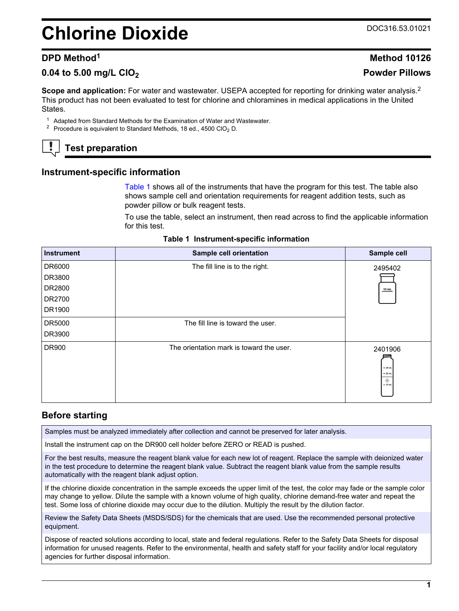# <span id="page-0-0"></span>**Chlorine Dioxide** Decree Districts of the DOC316.53.01021

#### **0.04 to 5.00 mg/L ClO<sup>2</sup> Powder Pillows**

**Scope and application:** For water and wastewater. USEPA accepted for reporting for drinking water analysis.<sup>2</sup> This product has not been evaluated to test for chlorine and chloramines in medical applications in the United States.

<sup>1</sup> Adapted from Standard Methods for the Examination of Water and Wastewater.

<sup>2</sup> Procedure is equivalent to Standard Methods, 18 ed., 4500 ClO<sub>2</sub> D.

## **Test preparation**

#### **Instrument-specific information**

Table 1 shows all of the instruments that have the program for this test. The table also shows sample cell and orientation requirements for reagent addition tests, such as powder pillow or bulk reagent tests.

To use the table, select an instrument, then read across to find the applicable information for this test.

| <b>Instrument</b> | Sample cell orientation                  | Sample cell                                        |
|-------------------|------------------------------------------|----------------------------------------------------|
| DR6000            | The fill line is to the right.           | 2495402                                            |
| DR3800            |                                          |                                                    |
| DR2800            |                                          | 10 mL                                              |
| DR2700            |                                          |                                                    |
| DR1900            |                                          |                                                    |
| DR5000            | The fill line is toward the user.        |                                                    |
| DR3900            |                                          |                                                    |
| DR900             | The orientation mark is toward the user. | 2401906<br>$-25$ mL<br>$= 20$ mL<br>۰<br>$= 10$ mL |

#### **Table 1 Instrument-specific information**

### **Before starting**

Samples must be analyzed immediately after collection and cannot be preserved for later analysis.

Install the instrument cap on the DR900 cell holder before ZERO or READ is pushed.

For the best results, measure the reagent blank value for each new lot of reagent. Replace the sample with deionized water in the test procedure to determine the reagent blank value. Subtract the reagent blank value from the sample results automatically with the reagent blank adjust option.

If the chlorine dioxide concentration in the sample exceeds the upper limit of the test, the color may fade or the sample color may change to yellow. Dilute the sample with a known volume of high quality, chlorine demand-free water and repeat the test. Some loss of chlorine dioxide may occur due to the dilution. Multiply the result by the dilution factor.

Review the Safety Data Sheets (MSDS/SDS) for the chemicals that are used. Use the recommended personal protective equipment.

Dispose of reacted solutions according to local, state and federal regulations. Refer to the Safety Data Sheets for disposal information for unused reagents. Refer to the environmental, health and safety staff for your facility and/or local regulatory agencies for further disposal information.

**1**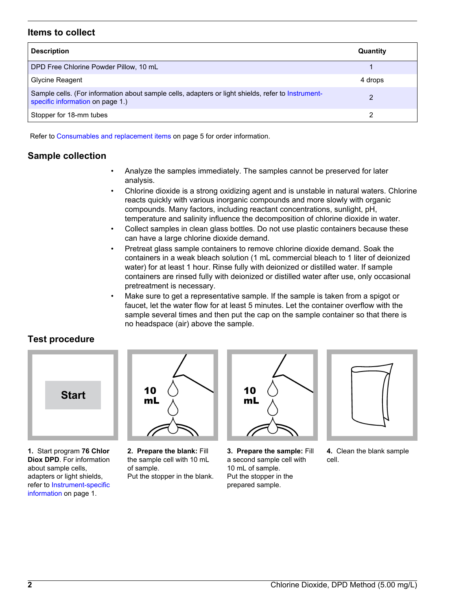#### **Items to collect**

| <b>Description</b>                                                                                                                     | Quantity |
|----------------------------------------------------------------------------------------------------------------------------------------|----------|
| DPD Free Chlorine Powder Pillow, 10 mL                                                                                                 |          |
| Glycine Reagent                                                                                                                        | 4 drops  |
| Sample cells. (For information about sample cells, adapters or light shields, refer to Instrument-<br>specific information on page 1.) | 2        |
| Stopper for 18-mm tubes                                                                                                                |          |

Refer to [Consumables and replacement items](#page-4-0) on page 5 for order information.

#### **Sample collection**

- Analyze the samples immediately. The samples cannot be preserved for later analysis.
- Chlorine dioxide is a strong oxidizing agent and is unstable in natural waters. Chlorine reacts quickly with various inorganic compounds and more slowly with organic compounds. Many factors, including reactant concentrations, sunlight, pH, temperature and salinity influence the decomposition of chlorine dioxide in water.
- Collect samples in clean glass bottles. Do not use plastic containers because these can have a large chlorine dioxide demand.
- Pretreat glass sample containers to remove chlorine dioxide demand. Soak the containers in a weak bleach solution (1 mL commercial bleach to 1 liter of deionized water) for at least 1 hour. Rinse fully with deionized or distilled water. If sample containers are rinsed fully with deionized or distilled water after use, only occasional pretreatment is necessary.
- Make sure to get a representative sample. If the sample is taken from a spigot or faucet, let the water flow for at least 5 minutes. Let the container overflow with the sample several times and then put the cap on the sample container so that there is no headspace (air) above the sample.

#### **Test procedure**



**1.** Start program **76 Chlor Diox DPD**. For information about sample cells, adapters or light shields, refer to [Instrument-specific](#page-0-0) [information](#page-0-0) on page 1.



**2. Prepare the blank:** Fill the sample cell with 10 mL of sample. Put the stopper in the blank.



**3. Prepare the sample:** Fill a second sample cell with 10 mL of sample. Put the stopper in the prepared sample.



**4.** Clean the blank sample cell.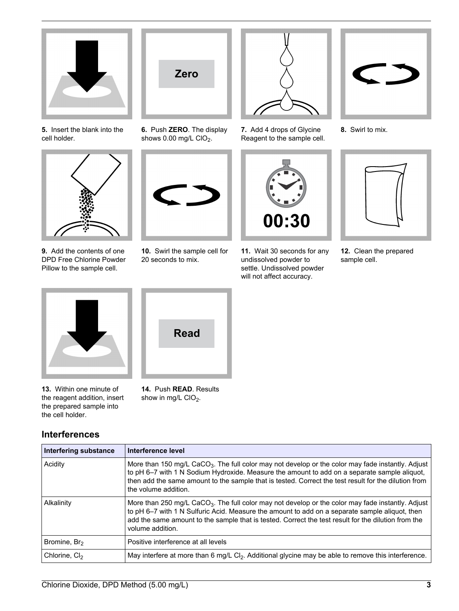

**5.** Insert the blank into the cell holder.



**9.** Add the contents of one DPD Free Chlorine Powder Pillow to the sample cell.



**6.** Push **ZERO**. The display shows  $0.00$  mg/L ClO<sub>2</sub>.



**10.** Swirl the sample cell for 20 seconds to mix.



**7.** Add 4 drops of Glycine Reagent to the sample cell.



**11.** Wait 30 seconds for any undissolved powder to settle. Undissolved powder will not affect accuracy.



**8.** Swirl to mix.



**12.** Clean the prepared sample cell.



**13.** Within one minute of the reagent addition, insert the prepared sample into the cell holder.

### **Interferences**



**14.** Push **READ**. Results show in mg/L  $ClO<sub>2</sub>$ .

| Interfering substance     | Interference level                                                                                                                                                                                                                                                                                                                            |
|---------------------------|-----------------------------------------------------------------------------------------------------------------------------------------------------------------------------------------------------------------------------------------------------------------------------------------------------------------------------------------------|
| Acidity                   | More than 150 mg/L CaCO <sub>3</sub> . The full color may not develop or the color may fade instantly. Adjust<br>to pH 6–7 with 1 N Sodium Hydroxide. Measure the amount to add on a separate sample aliquot,<br>then add the same amount to the sample that is tested. Correct the test result for the dilution from<br>the volume addition. |
| Alkalinity                | More than 250 mg/L CaCO <sub>3</sub> . The full color may not develop or the color may fade instantly. Adjust<br>to pH 6-7 with 1 N Sulfuric Acid. Measure the amount to add on a separate sample aliquot, then<br>add the same amount to the sample that is tested. Correct the test result for the dilution from the<br>volume addition.    |
| Bromine, Br <sub>2</sub>  | Positive interference at all levels                                                                                                                                                                                                                                                                                                           |
| Chlorine, Cl <sub>2</sub> | May interfere at more than 6 mg/L Cl <sub>2</sub> . Additional glycine may be able to remove this interference.                                                                                                                                                                                                                               |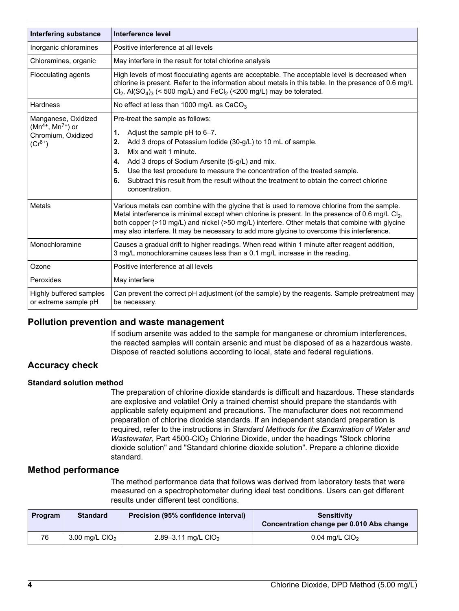| <b>Interfering substance</b>                                                        | Interference level                                                                                                                                                                                                                                                                                                                                                                                                                             |  |
|-------------------------------------------------------------------------------------|------------------------------------------------------------------------------------------------------------------------------------------------------------------------------------------------------------------------------------------------------------------------------------------------------------------------------------------------------------------------------------------------------------------------------------------------|--|
| Inorganic chloramines                                                               | Positive interference at all levels                                                                                                                                                                                                                                                                                                                                                                                                            |  |
| Chloramines, organic                                                                | May interfere in the result for total chlorine analysis                                                                                                                                                                                                                                                                                                                                                                                        |  |
| Flocculating agents                                                                 | High levels of most flocculating agents are acceptable. The acceptable level is decreased when<br>chlorine is present. Refer to the information about metals in this table. In the presence of 0.6 mg/L<br>$Cl_2$ , Al(SO <sub>4</sub> ) <sub>3</sub> (< 500 mg/L) and FeCl <sub>2</sub> (<200 mg/L) may be tolerated.                                                                                                                         |  |
| <b>Hardness</b>                                                                     | No effect at less than 1000 mg/L as CaCO <sub>3</sub>                                                                                                                                                                                                                                                                                                                                                                                          |  |
| Manganese, Oxidized<br>$(Mn^{4+}, Mn^{7+})$ or<br>Chromium, Oxidized<br>$(Cr^{6+})$ | Pre-treat the sample as follows:<br>Adjust the sample pH to 6-7.<br>1.<br>Add 3 drops of Potassium lodide (30-g/L) to 10 mL of sample.<br>2.<br>Mix and wait 1 minute.<br>3.<br>Add 3 drops of Sodium Arsenite (5-g/L) and mix.<br>4.<br>Use the test procedure to measure the concentration of the treated sample.<br>5.<br>Subtract this result from the result without the treatment to obtain the correct chlorine<br>6.<br>concentration. |  |
| Metals                                                                              | Various metals can combine with the glycine that is used to remove chlorine from the sample.<br>Metal interference is minimal except when chlorine is present. In the presence of 0.6 mg/L Cl <sub>2</sub> ,<br>both copper (>10 mg/L) and nickel (>50 mg/L) interfere. Other metals that combine with glycine<br>may also interfere. It may be necessary to add more glycine to overcome this interference.                                   |  |
| Monochloramine                                                                      | Causes a gradual drift to higher readings. When read within 1 minute after reagent addition,<br>3 mg/L monochloramine causes less than a 0.1 mg/L increase in the reading.                                                                                                                                                                                                                                                                     |  |
| Ozone                                                                               | Positive interference at all levels                                                                                                                                                                                                                                                                                                                                                                                                            |  |
| Peroxides                                                                           | May interfere                                                                                                                                                                                                                                                                                                                                                                                                                                  |  |
| Highly buffered samples<br>or extreme sample pH                                     | Can prevent the correct pH adjustment (of the sample) by the reagents. Sample pretreatment may<br>be necessary.                                                                                                                                                                                                                                                                                                                                |  |

#### **Pollution prevention and waste management**

If sodium arsenite was added to the sample for manganese or chromium interferences, the reacted samples will contain arsenic and must be disposed of as a hazardous waste. Dispose of reacted solutions according to local, state and federal regulations.

#### **Accuracy check**

#### **Standard solution method**

The preparation of chlorine dioxide standards is difficult and hazardous. These standards are explosive and volatile! Only a trained chemist should prepare the standards with applicable safety equipment and precautions. The manufacturer does not recommend preparation of chlorine dioxide standards. If an independent standard preparation is required, refer to the instructions in *Standard Methods for the Examination of Water and Wastewater*, Part 4500-CIO<sub>2</sub> Chlorine Dioxide, under the headings "Stock chlorine dioxide solution" and "Standard chlorine dioxide solution". Prepare a chlorine dioxide standard.

#### **Method performance**

The method performance data that follows was derived from laboratory tests that were measured on a spectrophotometer during ideal test conditions. Users can get different results under different test conditions.

| Program | <b>Standard</b>  | Precision (95% confidence interval) | <b>Sensitivity</b><br>Concentration change per 0.010 Abs change |
|---------|------------------|-------------------------------------|-----------------------------------------------------------------|
| 76      | 3.00 mg/L $ClO2$ | 2.89-3.11 mg/L CIO <sub>2</sub>     | 0.04 mg/L $ClO2$                                                |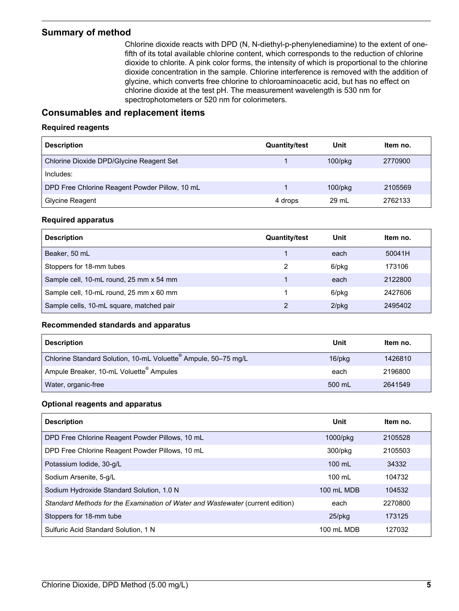#### <span id="page-4-0"></span>**Summary of method**

Chlorine dioxide reacts with DPD (N, N-diethyl-p-phenylenediamine) to the extent of onefifth of its total available chlorine content, which corresponds to the reduction of chlorine dioxide to chlorite. A pink color forms, the intensity of which is proportional to the chlorine dioxide concentration in the sample. Chlorine interference is removed with the addition of glycine, which converts free chlorine to chloroaminoacetic acid, but has no effect on chlorine dioxide at the test pH. The measurement wavelength is 530 nm for spectrophotometers or 520 nm for colorimeters.

#### **Consumables and replacement items**

#### **Required reagents**

| <b>Description</b>                             | <b>Quantity/test</b> | Unit          | Item no. |
|------------------------------------------------|----------------------|---------------|----------|
| Chlorine Dioxide DPD/Glycine Reagent Set       |                      | $100$ /p $kg$ | 2770900  |
| Includes:                                      |                      |               |          |
| DPD Free Chlorine Reagent Powder Pillow, 10 mL |                      | $100$ /p $kg$ | 2105569  |
| Glycine Reagent                                | 4 drops              | 29 ml         | 2762133  |

#### **Required apparatus**

| <b>Description</b>                       | <b>Quantity/test</b> | Unit     | Item no. |
|------------------------------------------|----------------------|----------|----------|
| Beaker, 50 mL                            |                      | each     | 50041H   |
| Stoppers for 18-mm tubes                 |                      | 6/pkg    | 173106   |
| Sample cell, 10-mL round, 25 mm x 54 mm  |                      | each     | 2122800  |
| Sample cell, 10-mL round, 25 mm x 60 mm  |                      | 6/pkg    | 2427606  |
| Sample cells, 10-mL square, matched pair |                      | $2$ /pkg | 2495402  |

#### **Recommended standards and apparatus**

| <b>Description</b>                                                         | Unit         | Item no. |
|----------------------------------------------------------------------------|--------------|----------|
| Chlorine Standard Solution, 10-mL Voluette <sup>®</sup> Ampule, 50-75 mg/L | $16$ /p $kg$ | 1426810  |
| Ampule Breaker, 10-mL Voluette <sup>®</sup> Ampules                        | each         | 2196800  |
| Water, organic-free                                                        | 500 mL       | 2641549  |

#### **Optional reagents and apparatus**

| <b>Description</b>                                                             | Unit             | Item no. |
|--------------------------------------------------------------------------------|------------------|----------|
| DPD Free Chlorine Reagent Powder Pillows, 10 mL                                | 1000/pkg         | 2105528  |
| DPD Free Chlorine Reagent Powder Pillows, 10 mL                                | 300/pkg          | 2105503  |
| Potassium Iodide, 30-g/L                                                       | 100 mL           | 34332    |
| Sodium Arsenite, 5-g/L                                                         | $100 \text{ ml}$ | 104732   |
| Sodium Hydroxide Standard Solution, 1.0 N                                      | 100 mL MDB       | 104532   |
| Standard Methods for the Examination of Water and Wastewater (current edition) | each             | 2270800  |
| Stoppers for 18-mm tube                                                        | $25$ /pkg        | 173125   |
| Sulfuric Acid Standard Solution, 1 N                                           | 100 mL MDB       | 127032   |